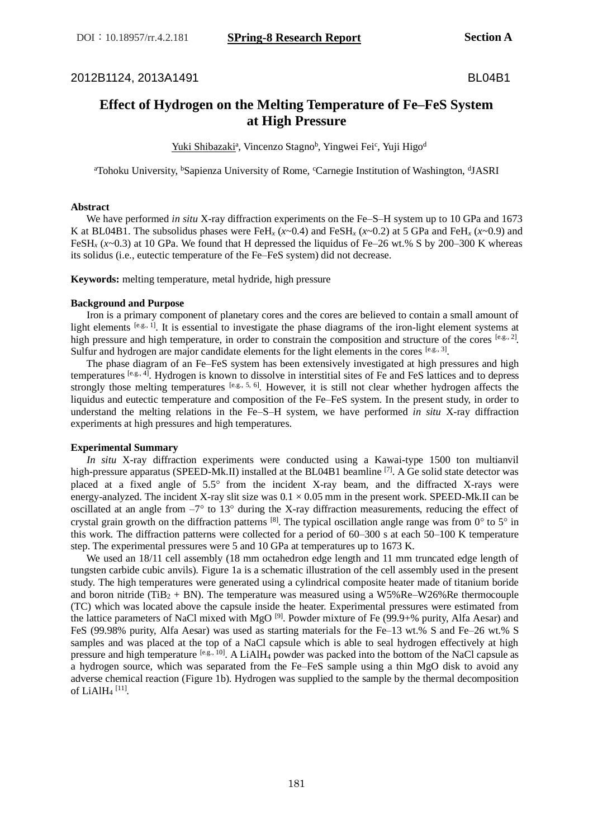2012B1124, 2013A1491 BL04B1

# **Effect of Hydrogen on the Melting Temperature of Fe–FeS System at High Pressure**

Yuki Shibazaki<sup>a</sup>, Vincenzo Stagno<sup>b</sup>, Yingwei Fei<sup>c</sup>, Yuji Higo<sup>d</sup>

<sup>a</sup>Tohoku University, <sup>b</sup>Sapienza University of Rome, <sup>c</sup>Carnegie Institution of Washington, <sup>d</sup>JASRI

# **Abstract**

We have performed *in situ* X-ray diffraction experiments on the Fe–S–H system up to 10 GPa and 1673 K at BL04B1. The subsolidus phases were FeH<sub>*x*</sub> ( $x \sim 0.4$ ) and FeSH<sub>*x*</sub> ( $x \sim 0.2$ ) at 5 GPa and FeH<sub>*x*</sub> ( $x \sim 0.9$ ) and FeSH<sub>x</sub> ( $x$ ~0.3) at 10 GPa. We found that H depressed the liquidus of Fe–26 wt.% S by 200–300 K whereas its solidus (i.e., eutectic temperature of the Fe–FeS system) did not decrease.

**Keywords:** melting temperature, metal hydride, high pressure

# **Background and Purpose**

 Iron is a primary component of planetary cores and the cores are believed to contain a small amount of light elements [e.g., 1]. It is essential to investigate the phase diagrams of the iron-light element systems at high pressure and high temperature, in order to constrain the composition and structure of the cores [e.g., 2]. Sulfur and hydrogen are major candidate elements for the light elements in the cores  $[0.8, 0.3]$ .

 The phase diagram of an Fe–FeS system has been extensively investigated at high pressures and high temperatures [e.g., 4]. Hydrogen is known to dissolve in interstitial sites of Fe and FeS lattices and to depress strongly those melting temperatures  $[0.6, 0.5, 6]$ . However, it is still not clear whether hydrogen affects the liquidus and eutectic temperature and composition of the Fe–FeS system. In the present study, in order to understand the melting relations in the Fe–S–H system, we have performed *in situ* X-ray diffraction experiments at high pressures and high temperatures.

# **Experimental Summary**

 *In situ* X-ray diffraction experiments were conducted using a Kawai-type 1500 ton multianvil high-pressure apparatus (SPEED-Mk.II) installed at the BL04B1 beamline <sup>[7]</sup>. A Ge solid state detector was placed at a fixed angle of  $5.5^{\circ}$  from the incident X-ray beam, and the diffracted X-rays were energy-analyzed. The incident X-ray slit size was  $0.1 \times 0.05$  mm in the present work. SPEED-Mk.II can be oscillated at an angle from  $-7^{\circ}$  to 13° during the X-ray diffraction measurements, reducing the effect of crystal grain growth on the diffraction patterns  $^{[8]}$ . The typical oscillation angle range was from  $0^{\circ}$  to  $5^{\circ}$  in this work. The diffraction patterns were collected for a period of 60–300 s at each 50–100 K temperature step. The experimental pressures were 5 and 10 GPa at temperatures up to 1673 K.

We used an  $18/11$  cell assembly (18 mm octahedron edge length and 11 mm truncated edge length of tungsten carbide cubic anvils). Figure 1a is a schematic illustration of the cell assembly used in the present study. The high temperatures were generated using a cylindrical composite heater made of titanium boride and boron nitride (TiB<sub>2</sub> + BN). The temperature was measured using a W5%Re–W26%Re thermocouple (TC) which was located above the capsule inside the heater. Experimental pressures were estimated from the lattice parameters of NaCl mixed with MgO <sup>[9]</sup>. Powder mixture of Fe (99.9+% purity, Alfa Aesar) and FeS (99.98% purity, Alfa Aesar) was used as starting materials for the Fe–13 wt.% S and Fe–26 wt.% S samples and was placed at the top of a NaCl capsule which is able to seal hydrogen effectively at high pressure and high temperature <sup>[e.g., 10]</sup>. A LiAlH<sub>4</sub> powder was packed into the bottom of the NaCl capsule as a hydrogen source, which was separated from the Fe–FeS sample using a thin MgO disk to avoid any adverse chemical reaction (Figure 1b). Hydrogen was supplied to the sample by the thermal decomposition of LiAlH<sup>4</sup> [11] .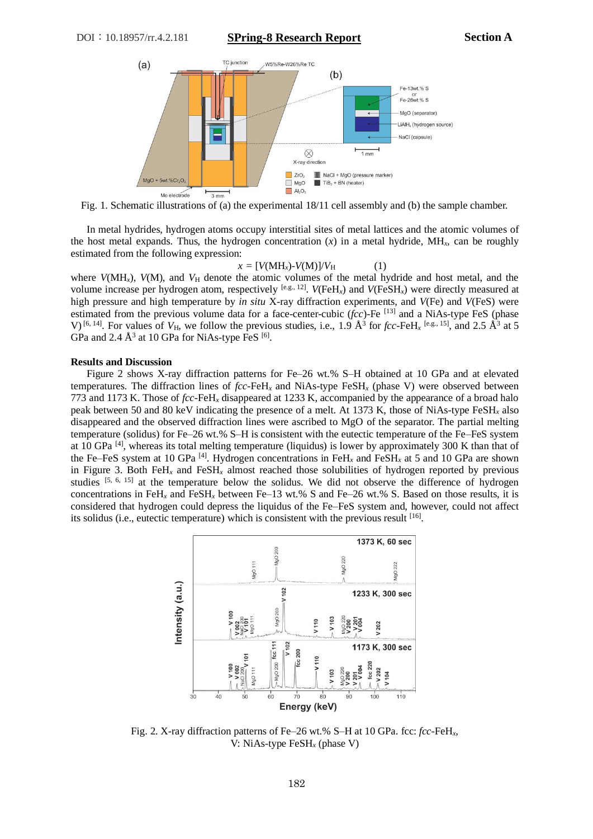DOI:10.18957/rr.4.2.181 **SPring-8 Research Report Section A**



Fig. 1. Schematic illustrations of (a) the experimental 18/11 cell assembly and (b) the sample chamber.

 In metal hydrides, hydrogen atoms occupy interstitial sites of metal lattices and the atomic volumes of the host metal expands. Thus, the hydrogen concentration  $(x)$  in a metal hydride, MH<sub>x</sub>, can be roughly estimated from the following expression:

## $x = [V(MH_x)-V(M)]/V_H$  (1)

where  $V(MH_x)$ ,  $V(M)$ , and  $V_H$  denote the atomic volumes of the metal hydride and host metal, and the volume increase per hydrogen atom, respectively  $[0.6, 1.2]$ .  $V(FeH<sub>x</sub>)$  and  $V(FeSH<sub>x</sub>)$  were directly measured at high pressure and high temperature by *in situ* X-ray diffraction experiments, and *V*(Fe) and *V*(FeS) were estimated from the previous volume data for a face-center-cubic (*fcc*)-Fe [13] and a NiAs-type FeS (phase V) <sup>[6, 14]</sup>. For values of  $V_H$ , we follow the previous studies, i.e., 1.9  $\AA^3$  for *fcc*-FeH<sub>x</sub><sup>[e.g., 15]</sup>, and 2.5  $\AA^3$  at 5 GPa and 2.4  $\AA^3$  at 10 GPa for NiAs-type FeS  $^{[6]}$ .

#### **Results and Discussion**

 Figure 2 shows X-ray diffraction patterns for Fe–26 wt.% S–H obtained at 10 GPa and at elevated temperatures. The diffraction lines of  $fcc$ -FeH<sub>x</sub> and NiAs-type FeSH<sub>x</sub> (phase V) were observed between 773 and 1173 K. Those of *fcc*-FeH*<sup>x</sup>* disappeared at 1233 K, accompanied by the appearance of a broad halo peak between 50 and 80 keV indicating the presence of a melt. At 1373 K, those of NiAs-type FeSH*<sup>x</sup>* also disappeared and the observed diffraction lines were ascribed to MgO of the separator. The partial melting temperature (solidus) for Fe–26 wt.% S–H is consistent with the eutectic temperature of the Fe–FeS system at 10 GPa <sup>[4]</sup>, whereas its total melting temperature (liquidus) is lower by approximately 300 K than that of the Fe–FeS system at 10 GPa [4] . Hydrogen concentrations in FeH*<sup>x</sup>* and FeSH*<sup>x</sup>* at 5 and 10 GPa are shown in Figure 3. Both FeH*<sup>x</sup>* and FeSH*<sup>x</sup>* almost reached those solubilities of hydrogen reported by previous studies  $[5, 6, 15]$  at the temperature below the solidus. We did not observe the difference of hydrogen concentrations in FeH<sub>x</sub> and FeSH<sub>x</sub> between Fe–13 wt.% S and Fe–26 wt.% S. Based on those results, it is considered that hydrogen could depress the liquidus of the Fe–FeS system and, however, could not affect its solidus (i.e., eutectic temperature) which is consistent with the previous result  $[16]$ .



Fig. 2. X-ray diffraction patterns of Fe–26 wt.% S–H at 10 GPa. fcc: *fcc*-FeH*x*, V: NiAs-type FeSH*<sup>x</sup>* (phase V)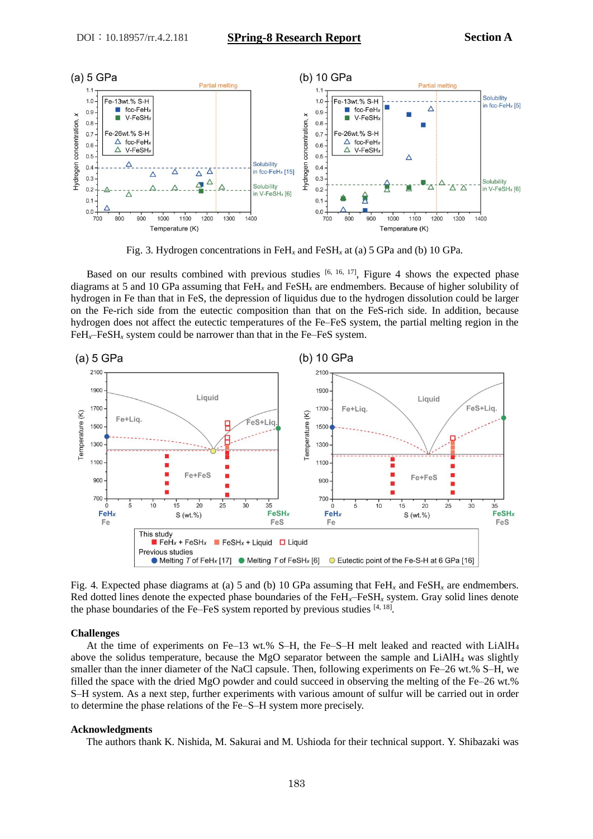

Fig. 3. Hydrogen concentrations in FeH*<sup>x</sup>* and FeSH*<sup>x</sup>* at (a) 5 GPa and (b) 10 GPa.

Based on our results combined with previous studies  $[6, 16, 17]$ , Figure 4 shows the expected phase diagrams at 5 and 10 GPa assuming that FeH*<sup>x</sup>* and FeSH*<sup>x</sup>* are endmembers. Because of higher solubility of hydrogen in Fe than that in FeS, the depression of liquidus due to the hydrogen dissolution could be larger on the Fe-rich side from the eutectic composition than that on the FeS-rich side. In addition, because hydrogen does not affect the eutectic temperatures of the Fe–FeS system, the partial melting region in the  $FeH<sub>x</sub>$ –FeSH<sub>x</sub> system could be narrower than that in the Fe–FeS system.



Fig. 4. Expected phase diagrams at (a) 5 and (b) 10 GPa assuming that  $FeH<sub>x</sub>$  and  $FeSH<sub>x</sub>$  are endmembers. Red dotted lines denote the expected phase boundaries of the FeH*x*–FeSH*<sup>x</sup>* system. Gray solid lines denote the phase boundaries of the Fe–FeS system reported by previous studies  $[4, 18]$ .

#### **Challenges**

At the time of experiments on Fe–13 wt.% S–H, the Fe–S–H melt leaked and reacted with  $LiAlH<sub>4</sub>$ above the solidus temperature, because the MgO separator between the sample and LiAlH<sup>4</sup> was slightly smaller than the inner diameter of the NaCl capsule. Then, following experiments on Fe–26 wt.% S–H, we filled the space with the dried MgO powder and could succeed in observing the melting of the Fe–26 wt.% S–H system. As a next step, further experiments with various amount of sulfur will be carried out in order to determine the phase relations of the Fe–S–H system more precisely.

#### **Acknowledgments**

The authors thank K. Nishida, M. Sakurai and M. Ushioda for their technical support. Y. Shibazaki was